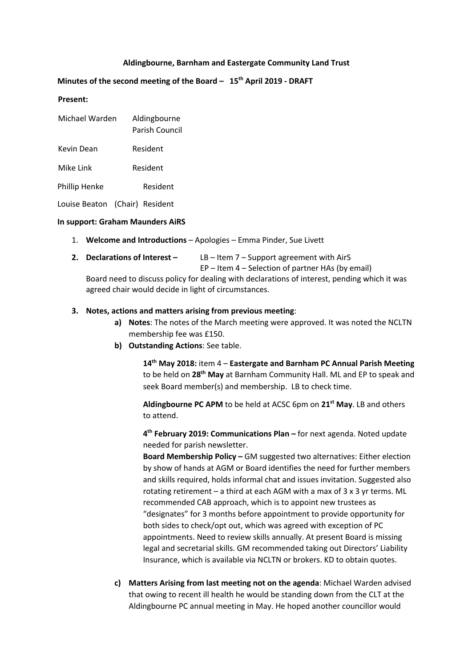## **Aldingbourne, Barnham and Eastergate Community Land Trust**

## **Minutes of the second meeting of the Board – 15th April 2019 - DRAFT**

#### **Present:**

| Michael Warden | Aldingbourne<br>Parish Council |
|----------------|--------------------------------|
| Kevin Dean     | Resident                       |
| Mike Link      | Resident                       |
| Phillip Henke  | Resident                       |

Louise Beaton (Chair) Resident

#### **In support: Graham Maunders AiRS**

- 1. **Welcome and Introductions** Apologies Emma Pinder, Sue Livett
- **2. Declarations of Interest –** LB Item 7 Support agreement with AirS

EP – Item 4 – Selection of partner HAs (by email)

Board need to discuss policy for dealing with declarations of interest, pending which it was agreed chair would decide in light of circumstances.

#### **3. Notes, actions and matters arising from previous meeting**:

- **a) Notes**: The notes of the March meeting were approved. It was noted the NCLTN membership fee was £150.
- **b) Outstanding Actions**: See table.

**14th May 2018:** item 4 – **Eastergate and Barnham PC Annual Parish Meeting** to be held on **28th May** at Barnham Community Hall. ML and EP to speak and seek Board member(s) and membership. LB to check time.

**Aldingbourne PC APM** to be held at ACSC 6pm on **21st May**. LB and others to attend.

**4th February 2019: Communications Plan –** for next agenda. Noted update needed for parish newsletter.

**Board Membership Policy –** GM suggested two alternatives: Either election by show of hands at AGM or Board identifies the need for further members and skills required, holds informal chat and issues invitation. Suggested also rotating retirement – a third at each AGM with a max of 3 x 3 yr terms. ML recommended CAB approach, which is to appoint new trustees as "designates" for 3 months before appointment to provide opportunity for both sides to check/opt out, which was agreed with exception of PC appointments. Need to review skills annually. At present Board is missing legal and secretarial skills. GM recommended taking out Directors' Liability Insurance, which is available via NCLTN or brokers. KD to obtain quotes.

**c) Matters Arising from last meeting not on the agenda**: Michael Warden advised that owing to recent ill health he would be standing down from the CLT at the Aldingbourne PC annual meeting in May. He hoped another councillor would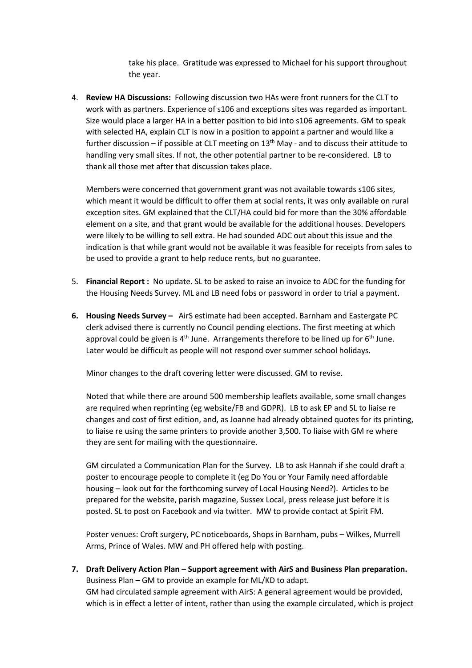take his place. Gratitude was expressed to Michael for his support throughout the year.

4. **Review HA Discussions:** Following discussion two HAs were front runners for the CLT to work with as partners. Experience of s106 and exceptions sites was regarded as important. Size would place a larger HA in a better position to bid into s106 agreements. GM to speak with selected HA, explain CLT is now in a position to appoint a partner and would like a further discussion – if possible at CLT meeting on  $13<sup>th</sup>$  May - and to discuss their attitude to handling very small sites. If not, the other potential partner to be re-considered. LB to thank all those met after that discussion takes place.

Members were concerned that government grant was not available towards s106 sites, which meant it would be difficult to offer them at social rents, it was only available on rural exception sites. GM explained that the CLT/HA could bid for more than the 30% affordable element on a site, and that grant would be available for the additional houses. Developers were likely to be willing to sell extra. He had sounded ADC out about this issue and the indication is that while grant would not be available it was feasible for receipts from sales to be used to provide a grant to help reduce rents, but no guarantee.

- 5. **Financial Report :** No update. SL to be asked to raise an invoice to ADC for the funding for the Housing Needs Survey. ML and LB need fobs or password in order to trial a payment.
- **6. Housing Needs Survey –** AirS estimate had been accepted. Barnham and Eastergate PC clerk advised there is currently no Council pending elections. The first meeting at which approval could be given is  $4<sup>th</sup>$  June. Arrangements therefore to be lined up for  $6<sup>th</sup>$  June. Later would be difficult as people will not respond over summer school holidays.

Minor changes to the draft covering letter were discussed. GM to revise.

Noted that while there are around 500 membership leaflets available, some small changes are required when reprinting (eg website/FB and GDPR). LB to ask EP and SL to liaise re changes and cost of first edition, and, as Joanne had already obtained quotes for its printing, to liaise re using the same printers to provide another 3,500. To liaise with GM re where they are sent for mailing with the questionnaire.

GM circulated a Communication Plan for the Survey. LB to ask Hannah if she could draft a poster to encourage people to complete it (eg Do You or Your Family need affordable housing – look out for the forthcoming survey of Local Housing Need?). Articles to be prepared for the website, parish magazine, Sussex Local, press release just before it is posted. SL to post on Facebook and via twitter. MW to provide contact at Spirit FM.

Poster venues: Croft surgery, PC noticeboards, Shops in Barnham, pubs – Wilkes, Murrell Arms, Prince of Wales. MW and PH offered help with posting.

**7. Draft Delivery Action Plan – Support agreement with AirS and Business Plan preparation.**  Business Plan – GM to provide an example for ML/KD to adapt. GM had circulated sample agreement with AirS: A general agreement would be provided, which is in effect a letter of intent, rather than using the example circulated, which is project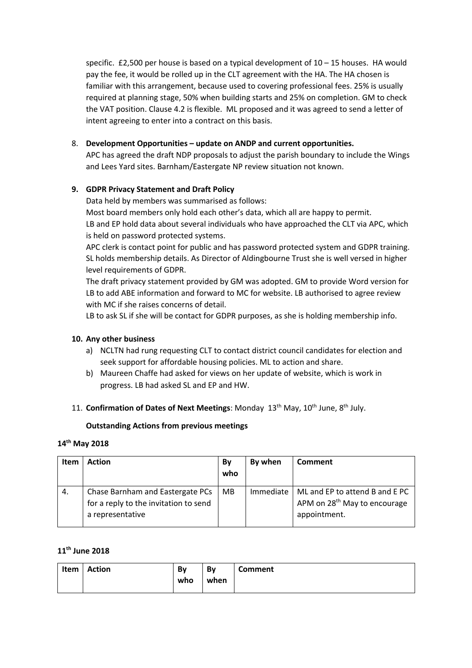specific.  $£2,500$  per house is based on a typical development of  $10 - 15$  houses. HA would pay the fee, it would be rolled up in the CLT agreement with the HA. The HA chosen is familiar with this arrangement, because used to covering professional fees. 25% is usually required at planning stage, 50% when building starts and 25% on completion. GM to check the VAT position. Clause 4.2 is flexible. ML proposed and it was agreed to send a letter of intent agreeing to enter into a contract on this basis.

## 8. **Development Opportunities – update on ANDP and current opportunities.**

APC has agreed the draft NDP proposals to adjust the parish boundary to include the Wings and Lees Yard sites. Barnham/Eastergate NP review situation not known.

## **9. GDPR Privacy Statement and Draft Policy**

Data held by members was summarised as follows:

Most board members only hold each other's data, which all are happy to permit. LB and EP hold data about several individuals who have approached the CLT via APC, which is held on password protected systems.

APC clerk is contact point for public and has password protected system and GDPR training. SL holds membership details. As Director of Aldingbourne Trust she is well versed in higher level requirements of GDPR.

The draft privacy statement provided by GM was adopted. GM to provide Word version for LB to add ABE information and forward to MC for website. LB authorised to agree review with MC if she raises concerns of detail.

LB to ask SL if she will be contact for GDPR purposes, as she is holding membership info.

## **10. Any other business**

- a) NCLTN had rung requesting CLT to contact district council candidates for election and seek support for affordable housing policies. ML to action and share.
- b) Maureen Chaffe had asked for views on her update of website, which is work in progress. LB had asked SL and EP and HW.
- 11. **Confirmation of Dates of Next Meetings**: Monday 13<sup>th</sup> May, 10<sup>th</sup> June, 8<sup>th</sup> July.

## **Outstanding Actions from previous meetings**

## **14th May 2018**

| Item | <b>Action</b>                                                                                 | By<br>who | By when   | Comment                                                                                    |
|------|-----------------------------------------------------------------------------------------------|-----------|-----------|--------------------------------------------------------------------------------------------|
| 4.   | Chase Barnham and Eastergate PCs<br>for a reply to the invitation to send<br>a representative | <b>MB</b> | Immediate | ML and EP to attend B and E PC<br>APM on 28 <sup>th</sup> May to encourage<br>appointment. |

# **11th June 2018**

| Item | Action | Bv  | Bv   | <b>Comment</b> |
|------|--------|-----|------|----------------|
|      |        | who | when |                |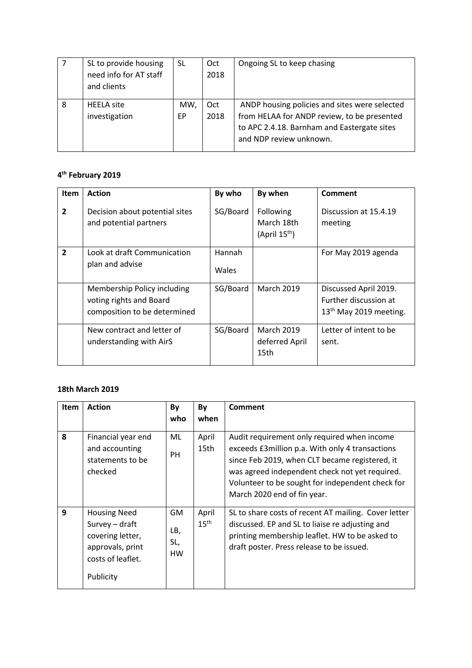|   | SL to provide housing<br>need info for AT staff<br>and clients | SL        | Oct<br>2018 | Ongoing SL to keep chasing                                                                                                                                             |
|---|----------------------------------------------------------------|-----------|-------------|------------------------------------------------------------------------------------------------------------------------------------------------------------------------|
| 8 | <b>HEELA</b> site<br>investigation                             | MW,<br>ЕP | Oct<br>2018 | ANDP housing policies and sites were selected<br>from HELAA for ANDP review, to be presented<br>to APC 2.4.18. Barnham and Eastergate sites<br>and NDP review unknown. |

# **4th February 2019**

| <b>Item</b>    | <b>Action</b>                                                                          | By who          | By when                                              | <b>Comment</b>                                                                       |
|----------------|----------------------------------------------------------------------------------------|-----------------|------------------------------------------------------|--------------------------------------------------------------------------------------|
| $\mathbf{2}$   | Decision about potential sites<br>and potential partners                               | SG/Board        | Following<br>March 18th<br>(April 15 <sup>th</sup> ) | Discussion at 15.4.19<br>meeting                                                     |
| $\overline{2}$ | Look at draft Communication<br>plan and advise                                         | Hannah<br>Wales |                                                      | For May 2019 agenda                                                                  |
|                | Membership Policy including<br>voting rights and Board<br>composition to be determined | SG/Board        | <b>March 2019</b>                                    | Discussed April 2019.<br>Further discussion at<br>13 <sup>th</sup> May 2019 meeting. |
|                | New contract and letter of<br>understanding with AirS                                  | SG/Board        | <b>March 2019</b><br>deferred April<br>15th          | Letter of intent to be<br>sent.                                                      |

# **18th March 2019**

| <b>Item</b> | <b>Action</b>                                                                                                   | By<br>who                     | By<br>when                | <b>Comment</b>                                                                                                                                                                                                                                                                         |
|-------------|-----------------------------------------------------------------------------------------------------------------|-------------------------------|---------------------------|----------------------------------------------------------------------------------------------------------------------------------------------------------------------------------------------------------------------------------------------------------------------------------------|
| 8           | Financial year end<br>and accounting<br>statements to be<br>checked                                             | ML<br><b>PH</b>               | April<br>15th             | Audit requirement only required when income<br>exceeds £3 million p.a. With only 4 transactions<br>since Feb 2019, when CLT became registered, it<br>was agreed independent check not yet required.<br>Volunteer to be sought for independent check for<br>March 2020 end of fin year. |
| 9           | <b>Housing Need</b><br>Survey - draft<br>covering letter,<br>approvals, print<br>costs of leaflet.<br>Publicity | GM<br>LB,<br>SL,<br><b>HW</b> | April<br>$15^{\text{th}}$ | SL to share costs of recent AT mailing. Cover letter<br>discussed. EP and SL to liaise re adjusting and<br>printing membership leaflet. HW to be asked to<br>draft poster. Press release to be issued.                                                                                 |